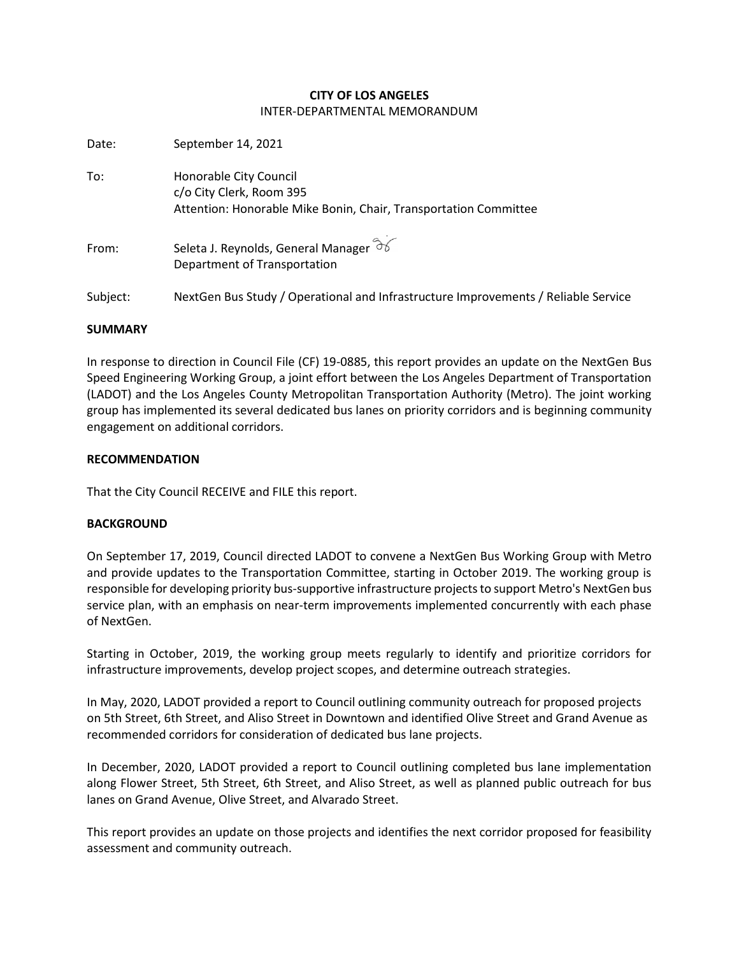### **CITY OF LOS ANGELES** INTER-DEPARTMENTAL MEMORANDUM

| Date:    | September 14, 2021                                                                                                     |
|----------|------------------------------------------------------------------------------------------------------------------------|
| To:      | Honorable City Council<br>c/o City Clerk, Room 395<br>Attention: Honorable Mike Bonin, Chair, Transportation Committee |
| From:    | Seleta J. Reynolds, General Manager $\widehat{\sigma}$<br>Department of Transportation                                 |
| Subject: | NextGen Bus Study / Operational and Infrastructure Improvements / Reliable Service                                     |

### **SUMMARY**

In response to direction in Council File (CF) 19-0885, this report provides an update on the NextGen Bus Speed Engineering Working Group, a joint effort between the Los Angeles Department of Transportation (LADOT) and the Los Angeles County Metropolitan Transportation Authority (Metro). The joint working group has implemented its several dedicated bus lanes on priority corridors and is beginning community engagement on additional corridors.

### **RECOMMENDATION**

That the City Council RECEIVE and FILE this report.

### **BACKGROUND**

On September 17, 2019, Council directed LADOT to convene a NextGen Bus Working Group with Metro and provide updates to the Transportation Committee, starting in October 2019. The working group is responsible for developing priority bus-supportive infrastructure projects to support Metro's NextGen bus service plan, with an emphasis on near-term improvements implemented concurrently with each phase of NextGen.

Starting in October, 2019, the working group meets regularly to identify and prioritize corridors for infrastructure improvements, develop project scopes, and determine outreach strategies.

In May, 2020, LADOT provided a report to Council outlining community outreach for proposed projects on 5th Street, 6th Street, and Aliso Street in Downtown and identified Olive Street and Grand Avenue as recommended corridors for consideration of dedicated bus lane projects.

In December, 2020, LADOT provided a report to Council outlining completed bus lane implementation along Flower Street, 5th Street, 6th Street, and Aliso Street, as well as planned public outreach for bus lanes on Grand Avenue, Olive Street, and Alvarado Street.

This report provides an update on those projects and identifies the next corridor proposed for feasibility assessment and community outreach.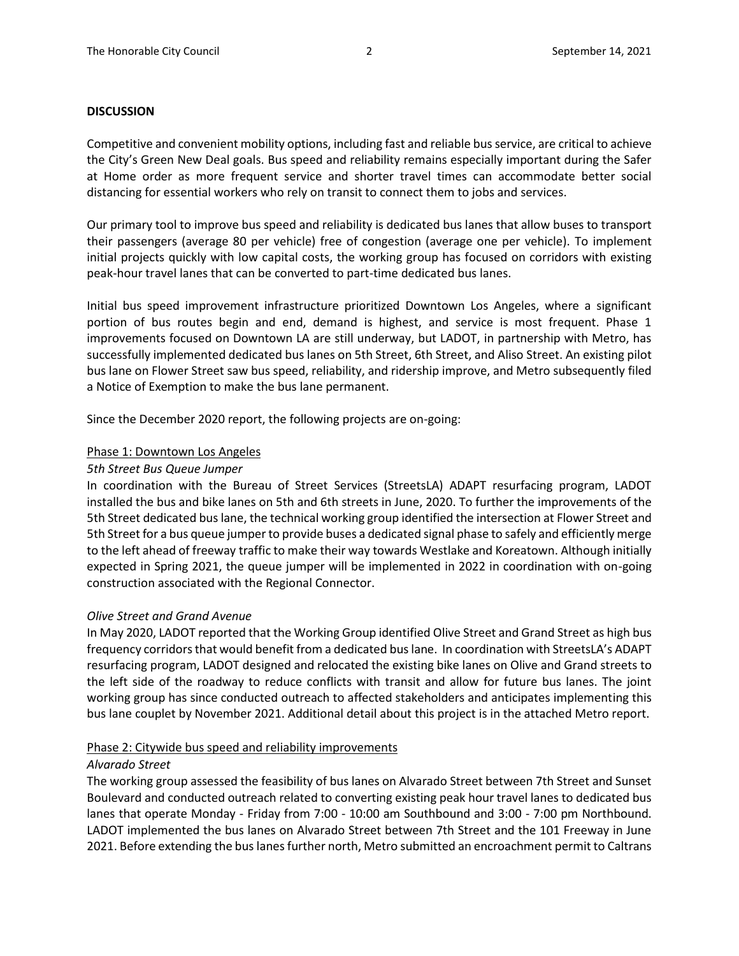#### **DISCUSSION**

Competitive and convenient mobility options, including fast and reliable bus service, are critical to achieve the City's Green New Deal goals. Bus speed and reliability remains especially important during the Safer at Home order as more frequent service and shorter travel times can accommodate better social distancing for essential workers who rely on transit to connect them to jobs and services.

Our primary tool to improve bus speed and reliability is dedicated bus lanes that allow buses to transport their passengers (average 80 per vehicle) free of congestion (average one per vehicle). To implement initial projects quickly with low capital costs, the working group has focused on corridors with existing peak-hour travel lanes that can be converted to part-time dedicated bus lanes.

Initial bus speed improvement infrastructure prioritized Downtown Los Angeles, where a significant portion of bus routes begin and end, demand is highest, and service is most frequent. Phase 1 improvements focused on Downtown LA are still underway, but LADOT, in partnership with Metro, has successfully implemented dedicated bus lanes on 5th Street, 6th Street, and Aliso Street. An existing pilot bus lane on Flower Street saw bus speed, reliability, and ridership improve, and Metro subsequently filed a Notice of Exemption to make the bus lane permanent.

Since the December 2020 report, the following projects are on-going:

#### Phase 1: Downtown Los Angeles

#### *5th Street Bus Queue Jumper*

In coordination with the Bureau of Street Services (StreetsLA) ADAPT resurfacing program, LADOT installed the bus and bike lanes on 5th and 6th streets in June, 2020. To further the improvements of the 5th Street dedicated bus lane, the technical working group identified the intersection at Flower Street and 5th Street for a bus queue jumper to provide buses a dedicated signal phase to safely and efficiently merge to the left ahead of freeway traffic to make their way towards Westlake and Koreatown. Although initially expected in Spring 2021, the queue jumper will be implemented in 2022 in coordination with on-going construction associated with the Regional Connector.

#### *Olive Street and Grand Avenue*

In May 2020, LADOT reported that the Working Group identified Olive Street and Grand Street as high bus frequency corridors that would benefit from a dedicated bus lane. In coordination with StreetsLA's ADAPT resurfacing program, LADOT designed and relocated the existing bike lanes on Olive and Grand streets to the left side of the roadway to reduce conflicts with transit and allow for future bus lanes. The joint working group has since conducted outreach to affected stakeholders and anticipates implementing this bus lane couplet by November 2021. Additional detail about this project is in the attached Metro report.

#### Phase 2: Citywide bus speed and reliability improvements

#### *Alvarado Street*

The working group assessed the feasibility of bus lanes on Alvarado Street between 7th Street and Sunset Boulevard and conducted outreach related to converting existing peak hour travel lanes to dedicated bus lanes that operate Monday - Friday from 7:00 - 10:00 am Southbound and 3:00 - 7:00 pm Northbound. LADOT implemented the bus lanes on Alvarado Street between 7th Street and the 101 Freeway in June 2021. Before extending the bus lanes further north, Metro submitted an encroachment permit to Caltrans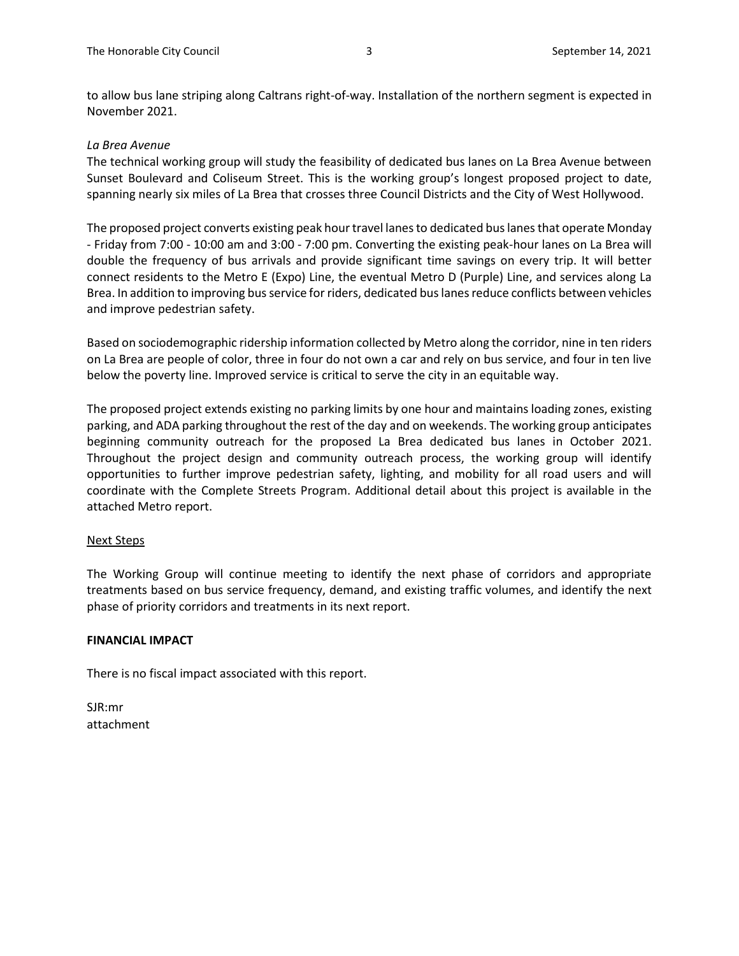to allow bus lane striping along Caltrans right-of-way. Installation of the northern segment is expected in November 2021.

### *La Brea Avenue*

The technical working group will study the feasibility of dedicated bus lanes on La Brea Avenue between Sunset Boulevard and Coliseum Street. This is the working group's longest proposed project to date, spanning nearly six miles of La Brea that crosses three Council Districts and the City of West Hollywood.

The proposed project converts existing peak hour travel lanes to dedicated bus lanes that operate Monday - Friday from 7:00 - 10:00 am and 3:00 - 7:00 pm. Converting the existing peak-hour lanes on La Brea will double the frequency of bus arrivals and provide significant time savings on every trip. It will better connect residents to the Metro E (Expo) Line, the eventual Metro D (Purple) Line, and services along La Brea. In addition to improving bus service for riders, dedicated bus lanes reduce conflicts between vehicles and improve pedestrian safety.

Based on sociodemographic ridership information collected by Metro along the corridor, nine in ten riders on La Brea are people of color, three in four do not own a car and rely on bus service, and four in ten live below the poverty line. Improved service is critical to serve the city in an equitable way.

The proposed project extends existing no parking limits by one hour and maintains loading zones, existing parking, and ADA parking throughout the rest of the day and on weekends. The working group anticipates beginning community outreach for the proposed La Brea dedicated bus lanes in October 2021. Throughout the project design and community outreach process, the working group will identify opportunities to further improve pedestrian safety, lighting, and mobility for all road users and will coordinate with the Complete Streets Program. Additional detail about this project is available in the attached Metro report.

### Next Steps

The Working Group will continue meeting to identify the next phase of corridors and appropriate treatments based on bus service frequency, demand, and existing traffic volumes, and identify the next phase of priority corridors and treatments in its next report.

### **FINANCIAL IMPACT**

There is no fiscal impact associated with this report.

SJR:mr attachment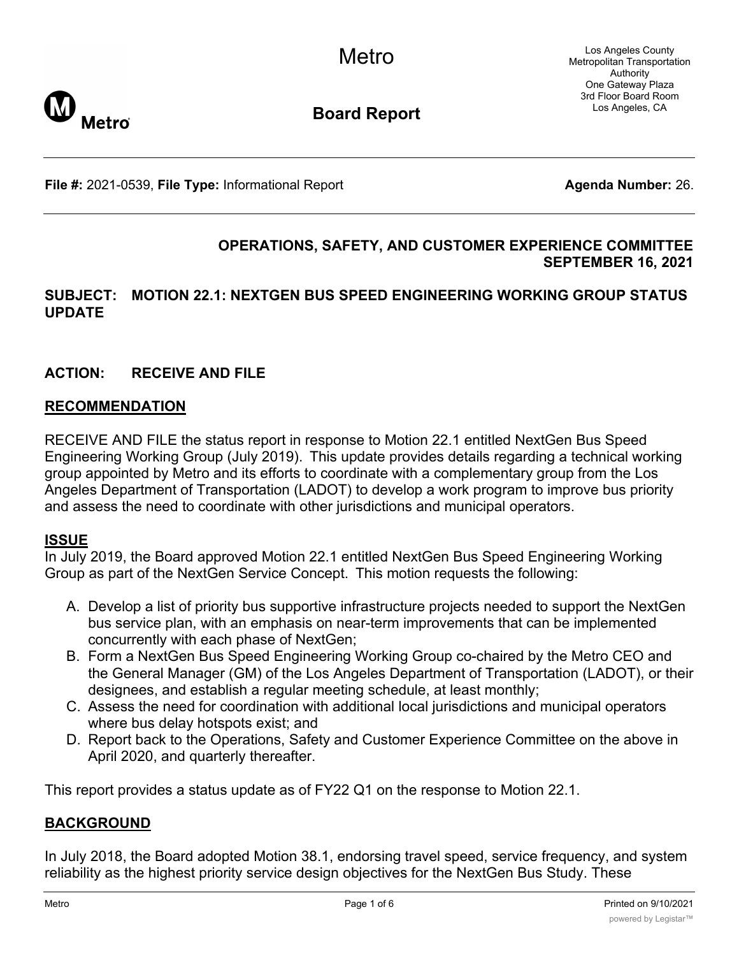Los Angeles County Metropolitan Transportation Authority One Gateway Plaza 3rd Floor Board Room Los Angeles, CA



**Board Report**

**File #:** 2021-0539, File Type: Informational Report **Agents Agenda Number:** 26.

## **OPERATIONS, SAFETY, AND CUSTOMER EXPERIENCE COMMITTEE SEPTEMBER 16, 2021**

### **SUBJECT: MOTION 22.1: NEXTGEN BUS SPEED ENGINEERING WORKING GROUP STATUS UPDATE**

# **ACTION: RECEIVE AND FILE**

### **RECOMMENDATION**

RECEIVE AND FILE the status report in response to Motion 22.1 entitled NextGen Bus Speed Engineering Working Group (July 2019).  This update provides details regarding a technical working group appointed by Metro and its efforts to coordinate with a complementary group from the Los Angeles Department of Transportation (LADOT) to develop a work program to improve bus priority and assess the need to coordinate with other jurisdictions and municipal operators.

### **ISSUE**

In July 2019, the Board approved Motion 22.1 entitled NextGen Bus Speed Engineering Working Group as part of the NextGen Service Concept.  This motion requests the following:

- A. Develop a list of priority bus supportive infrastructure projects needed to support the NextGen bus service plan, with an emphasis on near-term improvements that can be implemented concurrently with each phase of NextGen;
- B. Form a NextGen Bus Speed Engineering Working Group co-chaired by the Metro CEO and the General Manager (GM) of the Los Angeles Department of Transportation (LADOT), or their designees, and establish a regular meeting schedule, at least monthly;
- C. Assess the need for coordination with additional local jurisdictions and municipal operators where bus delay hotspots exist; and
- D. Report back to the Operations, Safety and Customer Experience Committee on the above in April 2020, and quarterly thereafter.

This report provides a status update as of FY22 Q1 on the response to Motion 22.1.

### **BACKGROUND**

In July 2018, the Board adopted Motion 38.1, endorsing travel speed, service frequency, and system reliability as the highest priority service design objectives for the NextGen Bus Study. These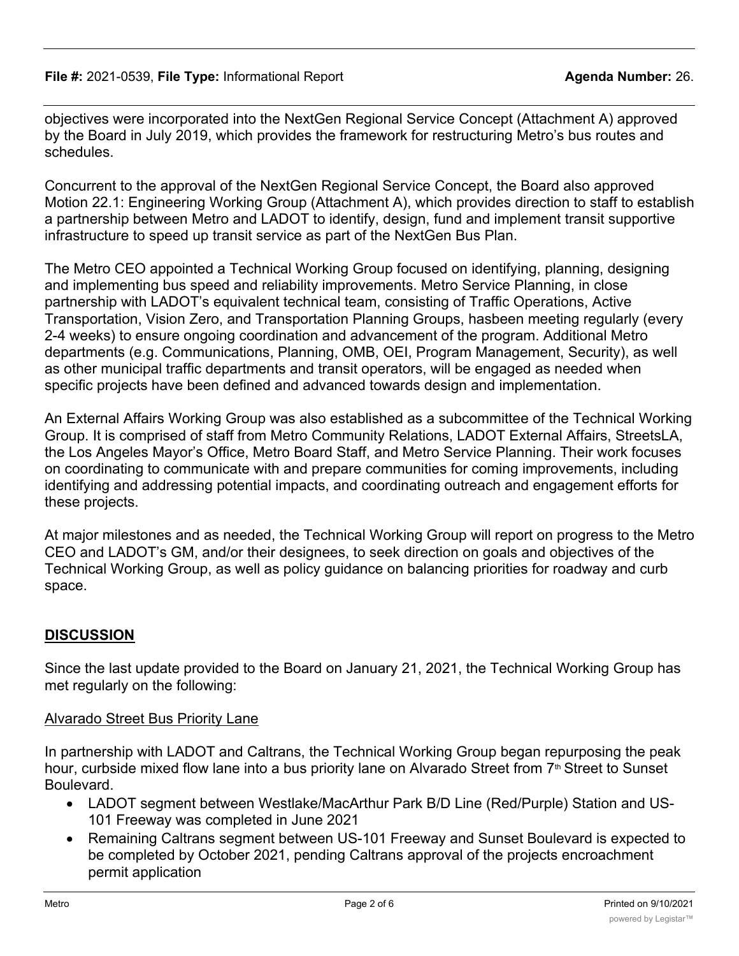objectives were incorporated into the NextGen Regional Service Concept (Attachment A) approved by the Board in July 2019, which provides the framework for restructuring Metro's bus routes and schedules.

Concurrent to the approval of the NextGen Regional Service Concept, the Board also approved Motion 22.1: Engineering Working Group (Attachment A), which provides direction to staff to establish a partnership between Metro and LADOT to identify, design, fund and implement transit supportive infrastructure to speed up transit service as part of the NextGen Bus Plan.

The Metro CEO appointed a Technical Working Group focused on identifying, planning, designing and implementing bus speed and reliability improvements. Metro Service Planning, in close partnership with LADOT's equivalent technical team, consisting of Traffic Operations, Active Transportation, Vision Zero, and Transportation Planning Groups, hasbeen meeting regularly (every 2-4 weeks) to ensure ongoing coordination and advancement of the program. Additional Metro departments (e.g. Communications, Planning, OMB, OEI, Program Management, Security), as well as other municipal traffic departments and transit operators, will be engaged as needed when specific projects have been defined and advanced towards design and implementation.

An External Affairs Working Group was also established as a subcommittee of the Technical Working Group. It is comprised of staff from Metro Community Relations, LADOT External Affairs, StreetsLA, the Los Angeles Mayor's Office, Metro Board Staff, and Metro Service Planning. Their work focuses on coordinating to communicate with and prepare communities for coming improvements, including identifying and addressing potential impacts, and coordinating outreach and engagement efforts for these projects.

At major milestones and as needed, the Technical Working Group will report on progress to the Metro CEO and LADOT's GM, and/or their designees, to seek direction on goals and objectives of the Technical Working Group, as well as policy guidance on balancing priorities for roadway and curb space.

# **DISCUSSION**

Since the last update provided to the Board on January 21, 2021, the Technical Working Group has met regularly on the following:

### Alvarado Street Bus Priority Lane

In partnership with LADOT and Caltrans, the Technical Working Group began repurposing the peak hour, curbside mixed flow lane into a bus priority lane on Alvarado Street from  $7<sup>th</sup>$  Street to Sunset Boulevard.

- · LADOT segment between Westlake/MacArthur Park B/D Line (Red/Purple) Station and US-101 Freeway was completed in June 2021
- · Remaining Caltrans segment between US-101 Freeway and Sunset Boulevard is expected to be completed by October 2021, pending Caltrans approval of the projects encroachment permit application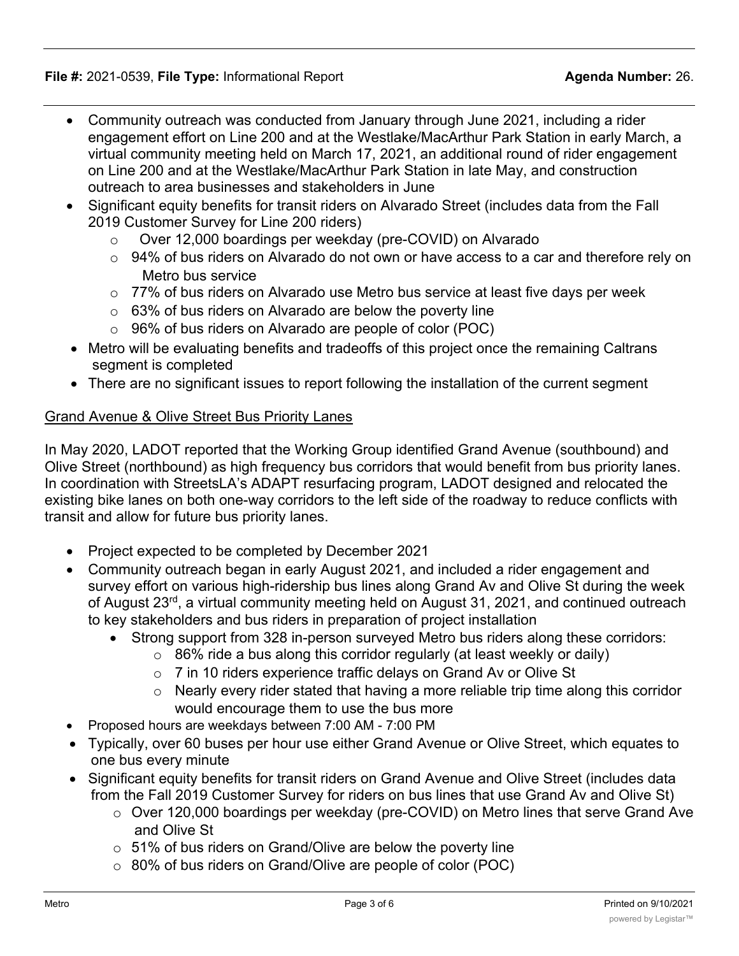- · Community outreach was conducted from January through June 2021, including a rider engagement effort on Line 200 and at the Westlake/MacArthur Park Station in early March, a virtual community meeting held on March 17, 2021, an additional round of rider engagement on Line 200 and at the Westlake/MacArthur Park Station in late May, and construction outreach to area businesses and stakeholders in June
- · Significant equity benefits for transit riders on Alvarado Street (includes data from the Fall 2019 Customer Survey for Line 200 riders)
	- o Over 12,000 boardings per weekday (pre-COVID) on Alvarado
	- $\circ$  94% of bus riders on Alvarado do not own or have access to a car and therefore rely on Metro bus service
	- $\circ$  77% of bus riders on Alvarado use Metro bus service at least five days per week
	- $\circ$  63% of bus riders on Alvarado are below the poverty line
	- o 96% of bus riders on Alvarado are people of color (POC)
- · Metro will be evaluating benefits and tradeoffs of this project once the remaining Caltrans segment is completed
- · There are no significant issues to report following the installation of the current segment

# Grand Avenue & Olive Street Bus Priority Lanes

In May 2020, LADOT reported that the Working Group identified Grand Avenue (southbound) and Olive Street (northbound) as high frequency bus corridors that would benefit from bus priority lanes. In coordination with StreetsLA's ADAPT resurfacing program, LADOT designed and relocated the existing bike lanes on both one-way corridors to the left side of the roadway to reduce conflicts with transit and allow for future bus priority lanes.

- · Project expected to be completed by December 2021
- · Community outreach began in early August 2021, and included a rider engagement and survey effort on various high-ridership bus lines along Grand Av and Olive St during the week of August 23<sup>rd</sup>, a virtual community meeting held on August 31, 2021, and continued outreach to key stakeholders and bus riders in preparation of project installation
	- Strong support from 328 in-person surveyed Metro bus riders along these corridors:
		- $\circ$  86% ride a bus along this corridor regularly (at least weekly or daily)
		- o 7 in 10 riders experience traffic delays on Grand Av or Olive St
		- o Nearly every rider stated that having a more reliable trip time along this corridor would encourage them to use the bus more
- · Proposed hours are weekdays between 7:00 AM 7:00 PM
- · Typically, over 60 buses per hour use either Grand Avenue or Olive Street, which equates to one bus every minute
- · Significant equity benefits for transit riders on Grand Avenue and Olive Street (includes data from the Fall 2019 Customer Survey for riders on bus lines that use Grand Av and Olive St)
	- o Over 120,000 boardings per weekday (pre-COVID) on Metro lines that serve Grand Ave and Olive St
	- $\circ$  51% of bus riders on Grand/Olive are below the poverty line
	- o 80% of bus riders on Grand/Olive are people of color (POC)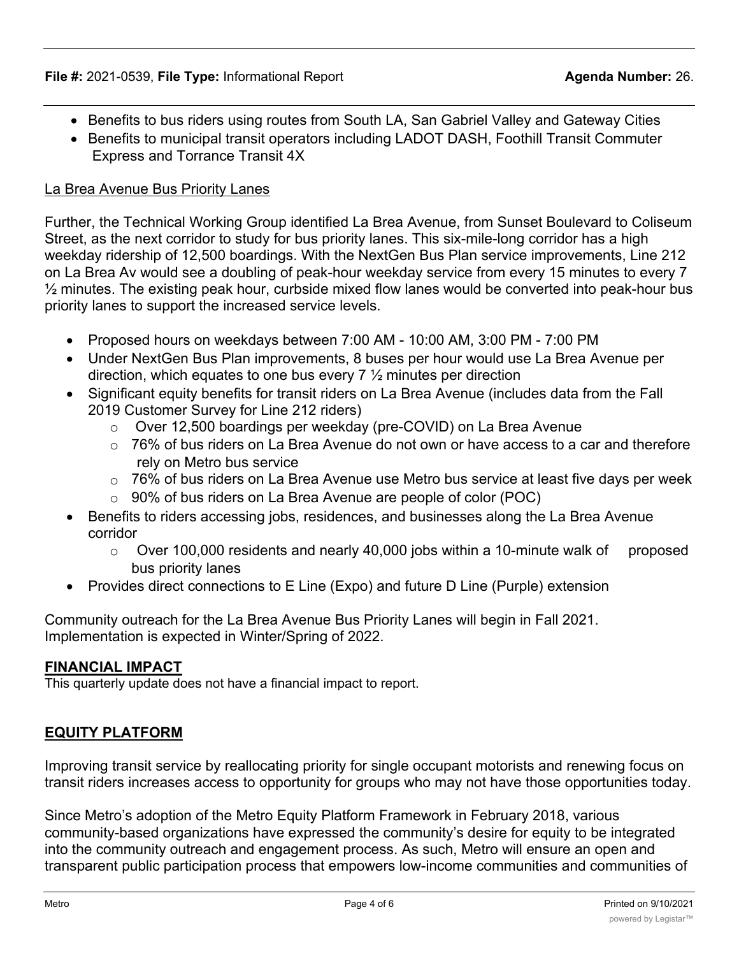- · Benefits to bus riders using routes from South LA, San Gabriel Valley and Gateway Cities
- · Benefits to municipal transit operators including LADOT DASH, Foothill Transit Commuter Express and Torrance Transit 4X

## La Brea Avenue Bus Priority Lanes

Further, the Technical Working Group identified La Brea Avenue, from Sunset Boulevard to Coliseum Street, as the next corridor to study for bus priority lanes. This six-mile-long corridor has a high weekday ridership of 12,500 boardings. With the NextGen Bus Plan service improvements, Line 212 on La Brea Av would see a doubling of peak-hour weekday service from every 15 minutes to every 7  $\frac{1}{2}$  minutes. The existing peak hour, curbside mixed flow lanes would be converted into peak-hour bus priority lanes to support the increased service levels.

- · Proposed hours on weekdays between 7:00 AM 10:00 AM, 3:00 PM 7:00 PM
- · Under NextGen Bus Plan improvements, 8 buses per hour would use La Brea Avenue per direction, which equates to one bus every 7 ½ minutes per direction
- · Significant equity benefits for transit riders on La Brea Avenue (includes data from the Fall 2019 Customer Survey for Line 212 riders)
	- o Over 12,500 boardings per weekday (pre-COVID) on La Brea Avenue
	- $\circ$  76% of bus riders on La Brea Avenue do not own or have access to a car and therefore rely on Metro bus service
	- $\circ$  76% of bus riders on La Brea Avenue use Metro bus service at least five days per week
	- $\circ$  90% of bus riders on La Brea Avenue are people of color (POC)
- · Benefits to riders accessing jobs, residences, and businesses along the La Brea Avenue corridor
	- $\circ$  Over 100,000 residents and nearly 40,000 jobs within a 10-minute walk of proposed bus priority lanes
- · Provides direct connections to E Line (Expo) and future D Line (Purple) extension

Community outreach for the La Brea Avenue Bus Priority Lanes will begin in Fall 2021. Implementation is expected in Winter/Spring of 2022.

### **FINANCIAL IMPACT**

This quarterly update does not have a financial impact to report.

# **EQUITY PLATFORM**

Improving transit service by reallocating priority for single occupant motorists and renewing focus on transit riders increases access to opportunity for groups who may not have those opportunities today.

Since Metro's adoption of the Metro Equity Platform Framework in February 2018, various community-based organizations have expressed the community's desire for equity to be integrated into the community outreach and engagement process. As such, Metro will ensure an open and transparent public participation process that empowers low-income communities and communities of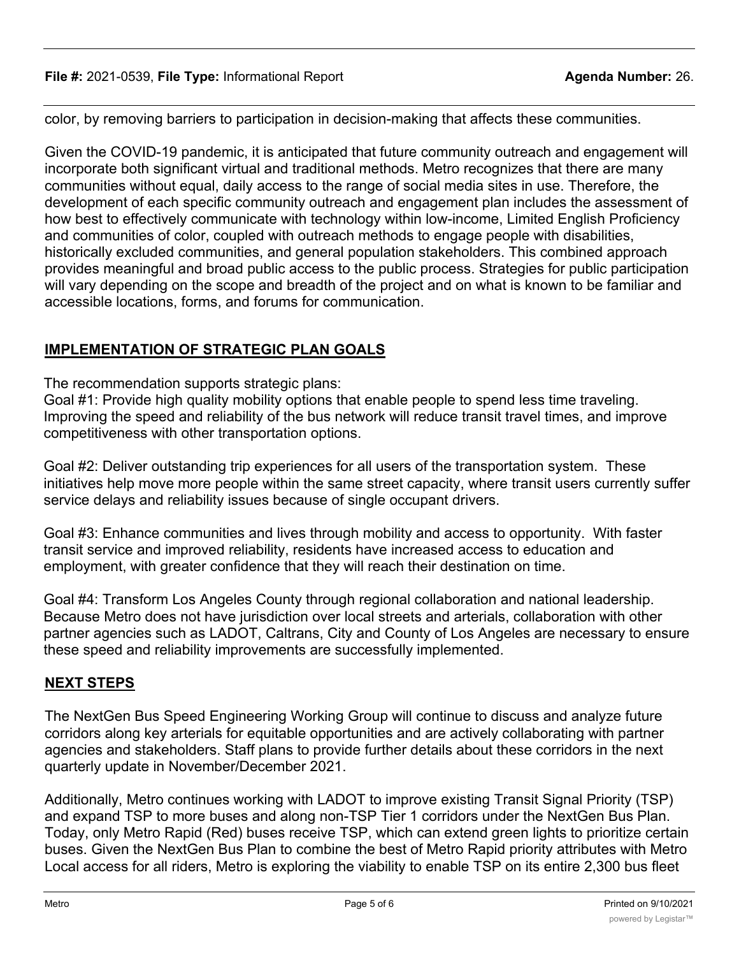color, by removing barriers to participation in decision-making that affects these communities.

Given the COVID-19 pandemic, it is anticipated that future community outreach and engagement will incorporate both significant virtual and traditional methods. Metro recognizes that there are many communities without equal, daily access to the range of social media sites in use. Therefore, the development of each specific community outreach and engagement plan includes the assessment of how best to effectively communicate with technology within low-income, Limited English Proficiency and communities of color, coupled with outreach methods to engage people with disabilities, historically excluded communities, and general population stakeholders. This combined approach provides meaningful and broad public access to the public process. Strategies for public participation will vary depending on the scope and breadth of the project and on what is known to be familiar and accessible locations, forms, and forums for communication.

# **IMPLEMENTATION OF STRATEGIC PLAN GOALS**

The recommendation supports strategic plans:

Goal #1: Provide high quality mobility options that enable people to spend less time traveling. Improving the speed and reliability of the bus network will reduce transit travel times, and improve competitiveness with other transportation options.

Goal #2: Deliver outstanding trip experiences for all users of the transportation system. These initiatives help move more people within the same street capacity, where transit users currently suffer service delays and reliability issues because of single occupant drivers.

Goal #3: Enhance communities and lives through mobility and access to opportunity. With faster transit service and improved reliability, residents have increased access to education and employment, with greater confidence that they will reach their destination on time.

Goal #4: Transform Los Angeles County through regional collaboration and national leadership. Because Metro does not have jurisdiction over local streets and arterials, collaboration with other partner agencies such as LADOT, Caltrans, City and County of Los Angeles are necessary to ensure these speed and reliability improvements are successfully implemented.

# **NEXT STEPS**

The NextGen Bus Speed Engineering Working Group will continue to discuss and analyze future corridors along key arterials for equitable opportunities and are actively collaborating with partner agencies and stakeholders. Staff plans to provide further details about these corridors in the next quarterly update in November/December 2021.

Additionally, Metro continues working with LADOT to improve existing Transit Signal Priority (TSP) and expand TSP to more buses and along non-TSP Tier 1 corridors under the NextGen Bus Plan. Today, only Metro Rapid (Red) buses receive TSP, which can extend green lights to prioritize certain buses. Given the NextGen Bus Plan to combine the best of Metro Rapid priority attributes with Metro Local access for all riders, Metro is exploring the viability to enable TSP on its entire 2,300 bus fleet